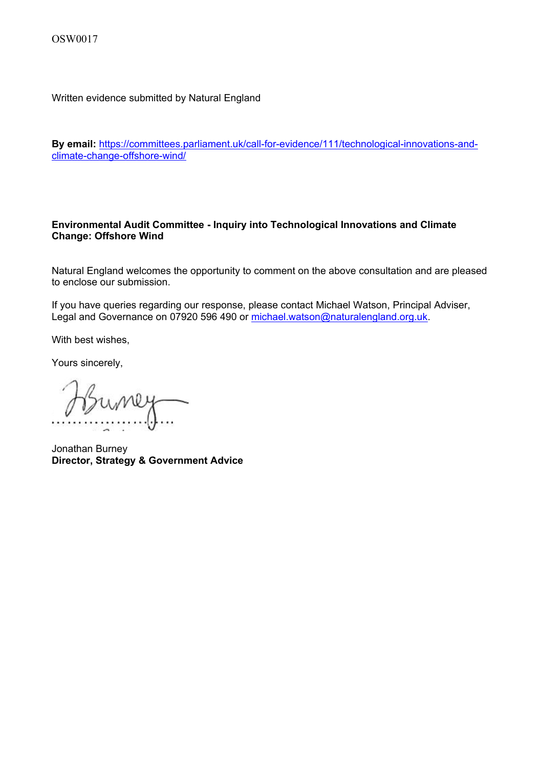Written evidence submitted by Natural England

**By email:** [https://committees.parliament.uk/call-for-evidence/111/technological-innovations-and](https://committees.parliament.uk/call-for-evidence/111/technological-innovations-and-climate-change-offshore-wind/)[climate-change-offshore-wind/](https://committees.parliament.uk/call-for-evidence/111/technological-innovations-and-climate-change-offshore-wind/)

## **Environmental Audit Committee - Inquiry into Technological Innovations and Climate Change: Offshore Wind**

Natural England welcomes the opportunity to comment on the above consultation and are pleased to enclose our submission.

If you have queries regarding our response, please contact Michael Watson, Principal Adviser, Legal and Governance on 07920 596 490 or [michael.watson@naturalengland.org.uk](mailto:michael.watson@naturalengland.org.uk).

With best wishes,

Yours sincerely,

Jonathan Burney **Director, Strategy & Government Advice**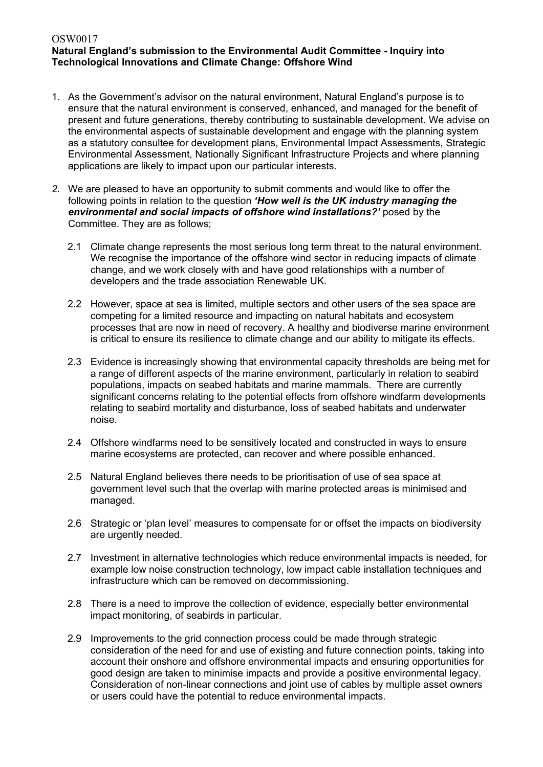## OSW0017 **Natural England's submission to the Environmental Audit Committee - Inquiry into Technological Innovations and Climate Change: Offshore Wind**

- 1. As the Government's advisor on the natural environment, Natural England's purpose is to ensure that the natural environment is conserved, enhanced, and managed for the benefit of present and future generations, thereby contributing to sustainable development. We advise on the environmental aspects of sustainable development and engage with the planning system as a statutory consultee for development plans, Environmental Impact Assessments, Strategic Environmental Assessment, Nationally Significant Infrastructure Projects and where planning applications are likely to impact upon our particular interests.
- *2.* We are pleased to have an opportunity to submit comments and would like to offer the following points in relation to the question *'How well is the UK industry managing the environmental and social impacts of offshore wind installations?'* posed by the Committee. They are as follows;
	- 2.1 Climate change represents the most serious long term threat to the natural environment. We recognise the importance of the offshore wind sector in reducing impacts of climate change, and we work closely with and have good relationships with a number of developers and the trade association Renewable UK.
	- 2.2 However, space at sea is limited, multiple sectors and other users of the sea space are competing for a limited resource and impacting on natural habitats and ecosystem processes that are now in need of recovery. A healthy and biodiverse marine environment is critical to ensure its resilience to climate change and our ability to mitigate its effects.
	- 2.3 Evidence is increasingly showing that environmental capacity thresholds are being met for a range of different aspects of the marine environment, particularly in relation to seabird populations, impacts on seabed habitats and marine mammals. There are currently significant concerns relating to the potential effects from offshore windfarm developments relating to seabird mortality and disturbance, loss of seabed habitats and underwater noise.
	- 2.4 Offshore windfarms need to be sensitively located and constructed in ways to ensure marine ecosystems are protected, can recover and where possible enhanced.
	- 2.5 Natural England believes there needs to be prioritisation of use of sea space at government level such that the overlap with marine protected areas is minimised and managed.
	- 2.6 Strategic or 'plan level' measures to compensate for or offset the impacts on biodiversity are urgently needed.
	- 2.7 Investment in alternative technologies which reduce environmental impacts is needed, for example low noise construction technology, low impact cable installation techniques and infrastructure which can be removed on decommissioning.
	- 2.8 There is a need to improve the collection of evidence, especially better environmental impact monitoring, of seabirds in particular.
	- 2.9 Improvements to the grid connection process could be made through strategic consideration of the need for and use of existing and future connection points, taking into account their onshore and offshore environmental impacts and ensuring opportunities for good design are taken to minimise impacts and provide a positive environmental legacy. Consideration of non-linear connections and joint use of cables by multiple asset owners or users could have the potential to reduce environmental impacts.